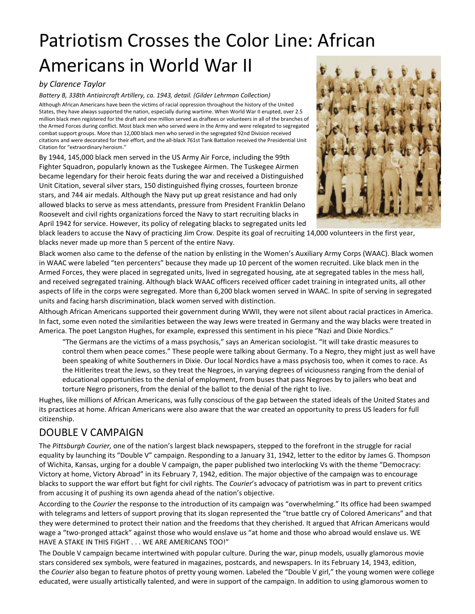# Patriotism Crosses the Color Line: African Americans in World War II

### *by Clarence Taylor*

*Battery B, 338th Antiaircraft Artillery, ca. 1943, detail. (Gilder Lehrman Collection)*

Although African Americans have been the victims of racial oppression throughout the history of the United States, they have always supported the nation, especially during wartime. When World War II erupted, over 2.5 million black men registered for the draft and one million served as draftees or volunteers in all of the branches of the Armed Forces during conflict. Most black men who served were in the Army and were relegated to segregated combat support groups. More than 12,000 black men who served in the segregated 92nd Division received citations and were decorated for their effort, and the all-black 761st Tank Battalion received the Presidential Unit Citation for "extraordinary heroism."

By 1944, 145,000 black men served in the US Army Air Force, including the 99th Fighter Squadron, popularly known as the Tuskegee Airmen. The Tuskegee Airmen became legendary for their heroic feats during the war and received a Distinguished Unit Citation, several silver stars, 150 distinguished flying crosses, fourteen bronze stars, and 744 air medals. Although the Navy put up great resistance and had only allowed blacks to serve as mess attendants, pressure from President Franklin Delano Roosevelt and civil rights organizations forced the Navy to start recruiting blacks in April 1942 for service. However, its policy of relegating blacks to segregated units led



black leaders to accuse the Navy of practicing Jim Crow. Despite its goal of recruiting 14,000 volunteers in the first year, blacks never made up more than 5 percent of the entire Navy.

Black women also came to the defense of the nation by enlisting in the Women's Auxiliary Army Corps (WAAC). Black women in WAAC were labeled "ten percenters" because they made up 10 percent of the women recruited. Like black men in the Armed Forces, they were placed in segregated units, lived in segregated housing, ate at segregated tables in the mess hall, and received segregated training. Although black WAAC officers received officer cadet training in integrated units, all other aspects of life in the corps were segregated. More than 6,200 black women served in WAAC. In spite of serving in segregated units and facing harsh discrimination, black women served with distinction.

Although African Americans supported their government during WWII, they were not silent about racial practices in America. In fact, some even noted the similarities between the way Jews were treated in Germany and the way blacks were treated in America. The poet Langston Hughes, for example, expressed this sentiment in his piece "Nazi and Dixie Nordics."

"The Germans are the victims of a mass psychosis," says an American sociologist. "It will take drastic measures to control them when peace comes." These people were talking about Germany. To a Negro, they might just as well have been speaking of white Southerners in Dixie. Our local Nordics have a mass psychosis too, when it comes to race. As the Hitlerites treat the Jews, so they treat the Negroes, in varying degrees of viciousness ranging from the denial of educational opportunities to the denial of employment, from buses that pass Negroes by to jailers who beat and torture Negro prisoners, from the denial of the ballot to the denial of the right to live.

Hughes, like millions of African Americans, was fully conscious of the gap between the stated ideals of the United States and its practices at home. African Americans were also aware that the war created an opportunity to press US leaders for full citizenship.

## DOUBLE V CAMPAIGN

The *Pittsburgh Courier,* one of the nation's largest black newspapers, stepped to the forefront in the struggle for racial equality by launching its "Double V" campaign. Responding to a January 31, 1942, letter to the editor by James G. Thompson of Wichita, Kansas, urging for a double V campaign, the paper published two interlocking Vs with the theme "Democracy: Victory at home, Victory Abroad" in its February 7, 1942, edition. The major objective of the campaign was to encourage blacks to support the war effort but fight for civil rights. The *Courier*'s advocacy of patriotism was in part to prevent critics from accusing it of pushing its own agenda ahead of the nation's objective.

According to the *Courier* the response to the introduction of its campaign was "overwhelming." Its office had been swamped with telegrams and letters of support proving that its slogan represented the "true battle cry of Colored Americans" and that they were determined to protect their nation and the freedoms that they cherished. It argued that African Americans would wage a "two-pronged attack" against those who would enslave us "at home and those who abroad would enslave us. WE HAVE A STAKE IN THIS FIGHT . . . WE ARE AMERICANS TOO!"

The Double V campaign became intertwined with popular culture. During the war, pinup models, usually glamorous movie stars considered sex symbols, were featured in magazines, postcards, and newspapers. In its February 14, 1943, edition, the *Courier* also began to feature photos of pretty young women. Labeled the "Double V girl," the young women were college educated, were usually artistically talented, and were in support of the campaign. In addition to using glamorous women to